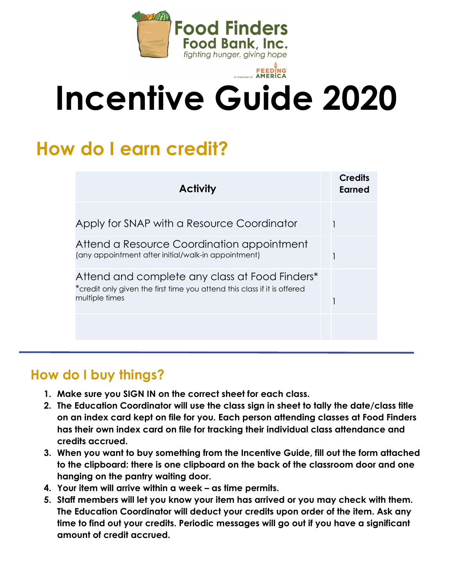

## FEED NG **Incentive Guide 2020**

### **How do I earn credit?**

| <b>Activity</b>                                                                                                                              | Credits<br>Earned |
|----------------------------------------------------------------------------------------------------------------------------------------------|-------------------|
| Apply for SNAP with a Resource Coordinator                                                                                                   |                   |
| Attend a Resource Coordination appointment<br>(any appointment after initial/walk-in appointment)                                            |                   |
| Attend and complete any class at Food Finders*<br>*credit only given the first time you attend this class if it is offered<br>multiple times |                   |
|                                                                                                                                              |                   |

#### **How do I buy things?**

- **1. Make sure you SIGN IN on the correct sheet for each class.**
- **2. The Education Coordinator will use the class sign in sheet to tally the date/class title on an index card kept on file for you. Each person attending classes at Food Finders has their own index card on file for tracking their individual class attendance and credits accrued.**
- **3. When you want to buy something from the Incentive Guide, fill out the form attached to the clipboard: there is one clipboard on the back of the classroom door and one hanging on the pantry waiting door.**
- **4. Your item will arrive within a week – as time permits.**
- **5. Staff members will let you know your item has arrived or you may check with them. The Education Coordinator will deduct your credits upon order of the item. Ask any time to find out your credits. Periodic messages will go out if you have a significant amount of credit accrued.**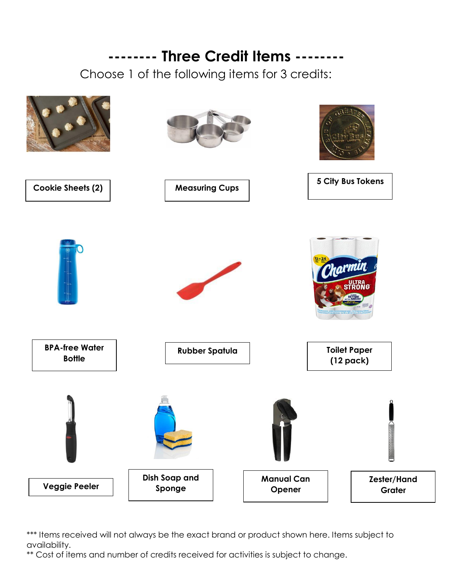#### **-------- Three Credit Items --------**

Choose 1 of the following items for 3 credits:



\*\*\* Items received will not always be the exact brand or product shown here. Items subject to availability.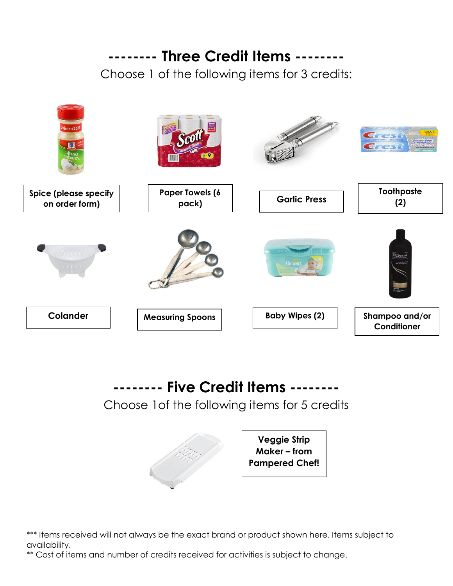#### **-------- Three Credit Items --------**

Choose 1 of the following items for 3 credits:



**-------- Five Credit Items --------**

Choose 1of the following items for 5 credits



\*\*\* Items received will not always be the exact brand or product shown here. Items subject to availability.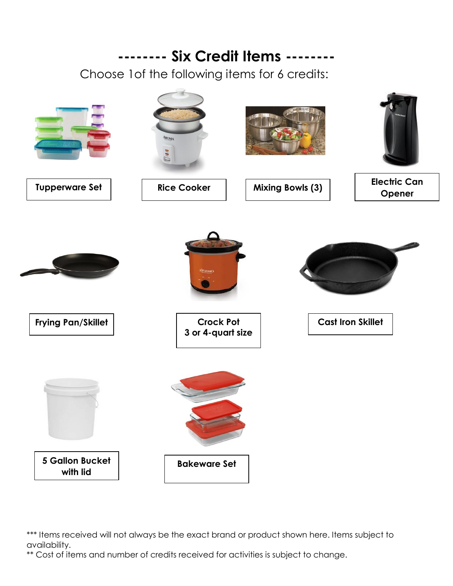

\*\*\* Items received will not always be the exact brand or product shown here. Items subject to availability.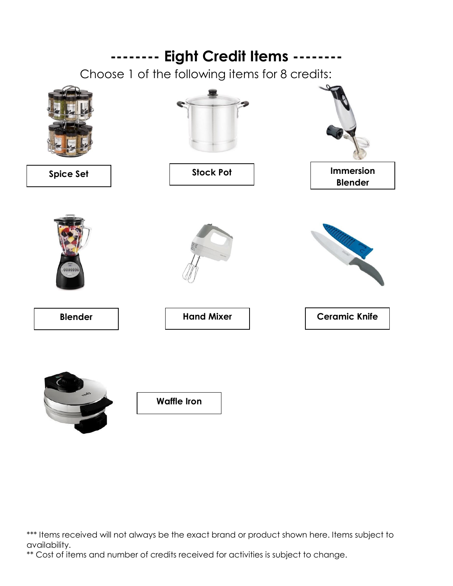# **-------- Eight Credit Items --------** Choose 1 of the following items for 8 credits: **Spice Set Stock Pot Blender Hand Mixer Hand Mixer Ceramic Knife Immersion Blender Waffle Iron**

\*\*\* Items received will not always be the exact brand or product shown here. Items subject to availability.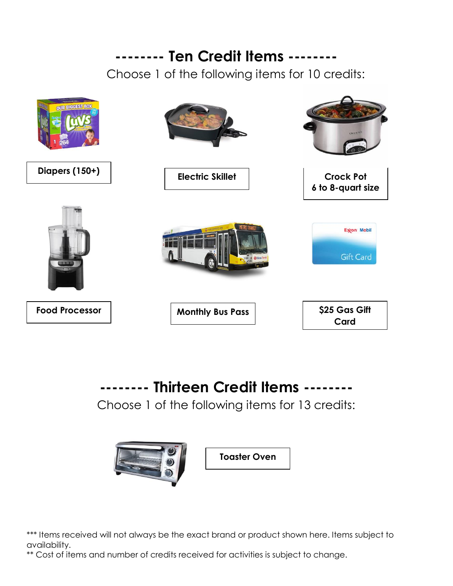#### **-------- Ten Credit Items --------**

Choose 1 of the following items for 10 credits:



**-------- Thirteen Credit Items --------** Choose 1 of the following items for 13 credits:



\*\*\* Items received will not always be the exact brand or product shown here. Items subject to availability.